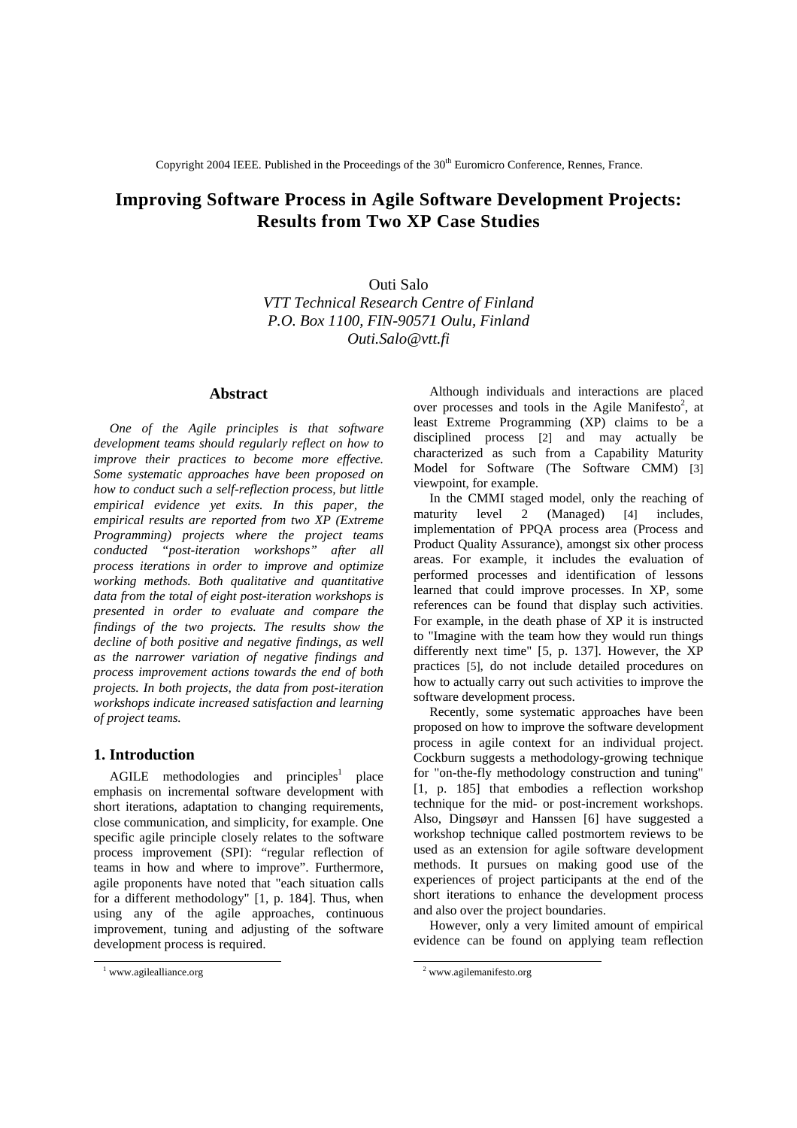Copyright 2004 IEEE. Published in the Proceedings of the  $30<sup>th</sup>$  Euromicro Conference, Rennes, France.

# **Improving Software Process in Agile Software Development Projects: Results from Two XP Case Studies**

# Outi Salo *VTT Technical Research Centre of Finland P.O. Box 1100, FIN-90571 Oulu, Finland Outi.Salo@vtt.fi*

## **Abstract**

*One of the Agile principles is that software development teams should regularly reflect on how to improve their practices to become more effective. Some systematic approaches have been proposed on how to conduct such a self-reflection process, but little empirical evidence yet exits. In this paper, the empirical results are reported from two XP (Extreme Programming) projects where the project teams conducted "post-iteration workshops" after all process iterations in order to improve and optimize working methods. Both qualitative and quantitative data from the total of eight post-iteration workshops is presented in order to evaluate and compare the findings of the two projects. The results show the decline of both positive and negative findings, as well as the narrower variation of negative findings and process improvement actions towards the end of both projects. In both projects, the data from post-iteration workshops indicate increased satisfaction and learning of project teams.* 

### **1. Introduction**

 $AGILE$  methodologies and principles<sup>1</sup> place emphasis on incremental software development with short iterations, adaptation to changing requirements, close communication, and simplicity, for example. One specific agile principle closely relates to the software process improvement (SPI): "regular reflection of teams in how and where to improve". Furthermore, agile proponents have noted that "each situation calls for a different methodology" [1, p. 184]. Thus, when using any of the agile approaches, continuous improvement, tuning and adjusting of the software development process is required.

Although individuals and interactions are placed over processes and tools in the Agile Manifesto<sup>2</sup>, at least Extreme Programming (XP) claims to be a disciplined process [2] and may actually be characterized as such from a Capability Maturity Model for Software (The Software CMM) [3] viewpoint, for example.

In the CMMI staged model, only the reaching of maturity level 2 (Managed) [4] includes, implementation of PPQA process area (Process and Product Quality Assurance), amongst six other process areas. For example, it includes the evaluation of performed processes and identification of lessons learned that could improve processes. In XP, some references can be found that display such activities. For example, in the death phase of XP it is instructed to "Imagine with the team how they would run things differently next time" [5, p. 137]. However, the XP practices [5], do not include detailed procedures on how to actually carry out such activities to improve the software development process.

Recently, some systematic approaches have been proposed on how to improve the software development process in agile context for an individual project. Cockburn suggests a methodology-growing technique for "on-the-fly methodology construction and tuning" [1, p. 185] that embodies a reflection workshop technique for the mid- or post-increment workshops. Also, Dingsøyr and Hanssen [6] have suggested a workshop technique called postmortem reviews to be used as an extension for agile software development methods. It pursues on making good use of the experiences of project participants at the end of the short iterations to enhance the development process and also over the project boundaries.

However, only a very limited amount of empirical evidence can be found on applying team reflection

 <sup>1</sup> www.agilealliance.org

 <sup>2</sup> www.agilemanifesto.org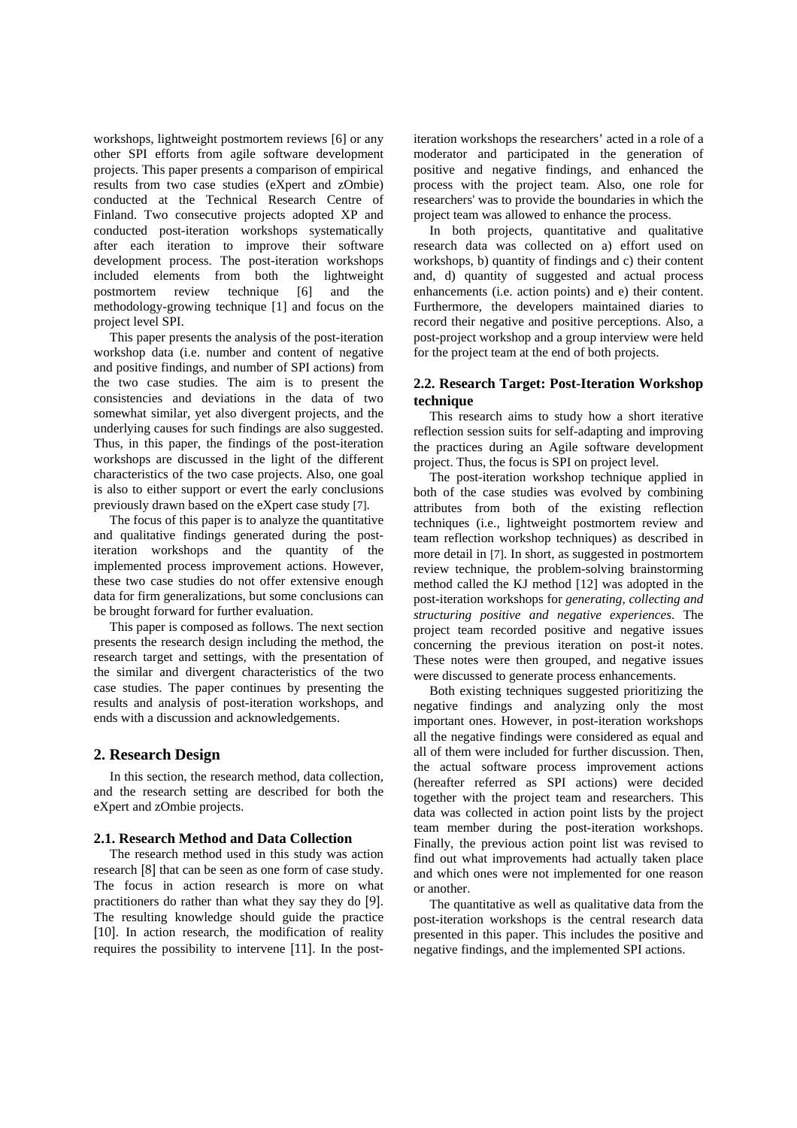workshops, lightweight postmortem reviews [6] or any other SPI efforts from agile software development projects. This paper presents a comparison of empirical results from two case studies (eXpert and zOmbie) conducted at the Technical Research Centre of Finland. Two consecutive projects adopted XP and conducted post-iteration workshops systematically after each iteration to improve their software development process. The post-iteration workshops included elements from both the lightweight postmortem review technique [6] and the methodology-growing technique [1] and focus on the project level SPI.

This paper presents the analysis of the post-iteration workshop data (i.e. number and content of negative and positive findings, and number of SPI actions) from the two case studies. The aim is to present the consistencies and deviations in the data of two somewhat similar, yet also divergent projects, and the underlying causes for such findings are also suggested. Thus, in this paper, the findings of the post-iteration workshops are discussed in the light of the different characteristics of the two case projects. Also, one goal is also to either support or evert the early conclusions previously drawn based on the eXpert case study [7].

The focus of this paper is to analyze the quantitative and qualitative findings generated during the postiteration workshops and the quantity of the implemented process improvement actions. However, these two case studies do not offer extensive enough data for firm generalizations, but some conclusions can be brought forward for further evaluation.

This paper is composed as follows. The next section presents the research design including the method, the research target and settings, with the presentation of the similar and divergent characteristics of the two case studies. The paper continues by presenting the results and analysis of post-iteration workshops, and ends with a discussion and acknowledgements.

## **2. Research Design**

In this section, the research method, data collection, and the research setting are described for both the eXpert and zOmbie projects.

#### **2.1. Research Method and Data Collection**

The research method used in this study was action research [8] that can be seen as one form of case study. The focus in action research is more on what practitioners do rather than what they say they do [9]. The resulting knowledge should guide the practice [10]. In action research, the modification of reality requires the possibility to intervene [11]. In the postiteration workshops the researchers' acted in a role of a moderator and participated in the generation of positive and negative findings, and enhanced the process with the project team. Also, one role for researchers' was to provide the boundaries in which the project team was allowed to enhance the process.

In both projects, quantitative and qualitative research data was collected on a) effort used on workshops, b) quantity of findings and c) their content and, d) quantity of suggested and actual process enhancements (i.e. action points) and e) their content. Furthermore, the developers maintained diaries to record their negative and positive perceptions. Also, a post-project workshop and a group interview were held for the project team at the end of both projects.

# **2.2. Research Target: Post-Iteration Workshop technique**

This research aims to study how a short iterative reflection session suits for self-adapting and improving the practices during an Agile software development project. Thus, the focus is SPI on project level.

The post-iteration workshop technique applied in both of the case studies was evolved by combining attributes from both of the existing reflection techniques (i.e., lightweight postmortem review and team reflection workshop techniques) as described in more detail in [7]. In short, as suggested in postmortem review technique, the problem-solving brainstorming method called the KJ method [12] was adopted in the post-iteration workshops for *generating, collecting and structuring positive and negative experiences*. The project team recorded positive and negative issues concerning the previous iteration on post-it notes. These notes were then grouped, and negative issues were discussed to generate process enhancements.

Both existing techniques suggested prioritizing the negative findings and analyzing only the most important ones. However, in post-iteration workshops all the negative findings were considered as equal and all of them were included for further discussion. Then, the actual software process improvement actions (hereafter referred as SPI actions) were decided together with the project team and researchers. This data was collected in action point lists by the project team member during the post-iteration workshops. Finally, the previous action point list was revised to find out what improvements had actually taken place and which ones were not implemented for one reason or another.

The quantitative as well as qualitative data from the post-iteration workshops is the central research data presented in this paper. This includes the positive and negative findings, and the implemented SPI actions.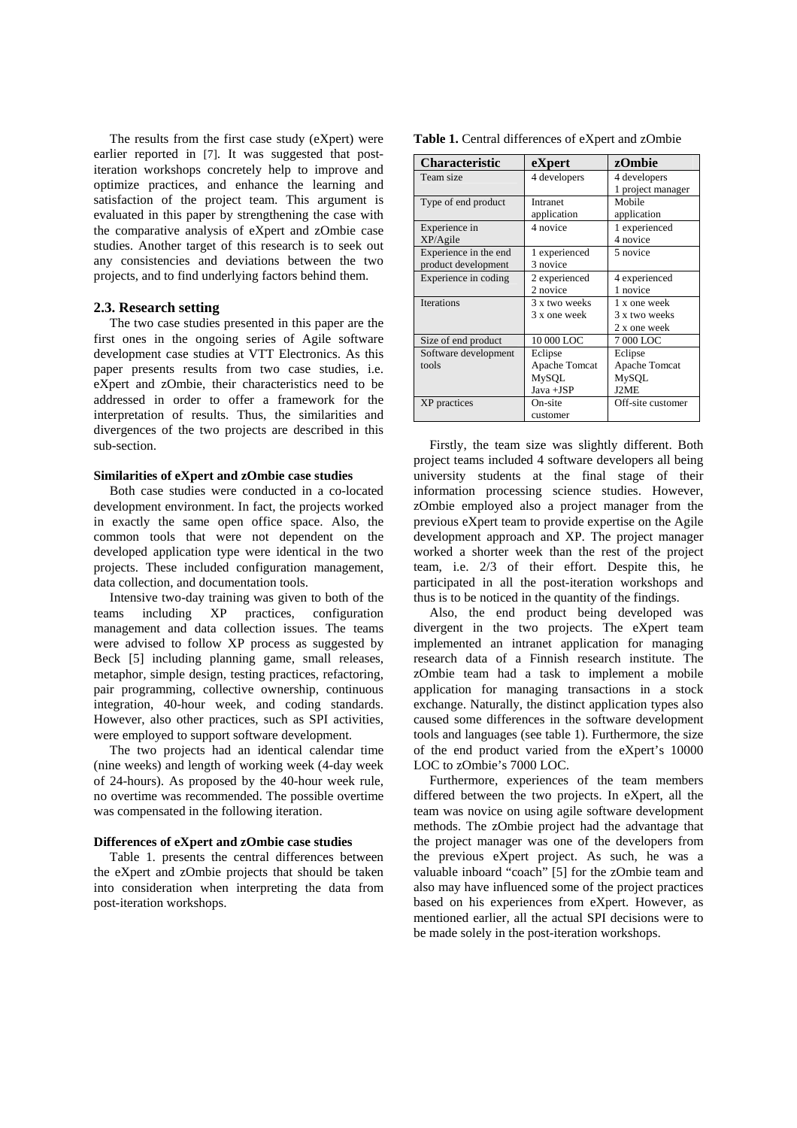The results from the first case study (eXpert) were earlier reported in [7]. It was suggested that postiteration workshops concretely help to improve and optimize practices, and enhance the learning and satisfaction of the project team. This argument is evaluated in this paper by strengthening the case with the comparative analysis of eXpert and zOmbie case studies. Another target of this research is to seek out any consistencies and deviations between the two projects, and to find underlying factors behind them.

#### **2.3. Research setting**

The two case studies presented in this paper are the first ones in the ongoing series of Agile software development case studies at VTT Electronics. As this paper presents results from two case studies, i.e. eXpert and zOmbie, their characteristics need to be addressed in order to offer a framework for the interpretation of results. Thus, the similarities and divergences of the two projects are described in this sub-section.

### **Similarities of eXpert and zOmbie case studies**

Both case studies were conducted in a co-located development environment. In fact, the projects worked in exactly the same open office space. Also, the common tools that were not dependent on the developed application type were identical in the two projects. These included configuration management, data collection, and documentation tools.

Intensive two-day training was given to both of the teams including XP practices, configuration management and data collection issues. The teams were advised to follow XP process as suggested by Beck [5] including planning game, small releases, metaphor, simple design, testing practices, refactoring, pair programming, collective ownership, continuous integration, 40-hour week, and coding standards. However, also other practices, such as SPI activities, were employed to support software development.

The two projects had an identical calendar time (nine weeks) and length of working week (4-day week of 24-hours). As proposed by the 40-hour week rule, no overtime was recommended. The possible overtime was compensated in the following iteration.

### **Differences of eXpert and zOmbie case studies**

Table 1. presents the central differences between the eXpert and zOmbie projects that should be taken into consideration when interpreting the data from post-iteration workshops.

| <b>Characteristic</b> | eXpert        | zOmbie            |
|-----------------------|---------------|-------------------|
| Team size             | 4 developers  | 4 developers      |
|                       |               | 1 project manager |
| Type of end product   | Intranet      | Mobile            |
|                       | application   | application       |
| Experience in         | 4 novice      | 1 experienced     |
| XP/Agile              |               | 4 novice          |
| Experience in the end | 1 experienced | 5 novice          |
| product development   | 3 novice      |                   |
| Experience in coding  | 2 experienced | 4 experienced     |
|                       | 2 novice      | 1 novice          |
| <b>Iterations</b>     | 3 x two weeks | 1 x one week      |
|                       | 3 x one week  | 3 x two weeks     |
|                       |               | 2 x one week      |
| Size of end product   | 10 000 LOC    | 7000LOC           |
| Software development  | Eclipse       | Eclipse           |
| tools                 | Apache Tomcat | Apache Tomcat     |
|                       | MySQL         | MySQL             |
|                       | Java +JSP     | J2ME              |
| XP practices          | On-site       | Off-site customer |
|                       | customer      |                   |

Firstly, the team size was slightly different. Both project teams included 4 software developers all being university students at the final stage of their information processing science studies. However, zOmbie employed also a project manager from the previous eXpert team to provide expertise on the Agile development approach and XP. The project manager worked a shorter week than the rest of the project team, i.e. 2/3 of their effort. Despite this, he participated in all the post-iteration workshops and thus is to be noticed in the quantity of the findings.

Also, the end product being developed was divergent in the two projects. The eXpert team implemented an intranet application for managing research data of a Finnish research institute. The zOmbie team had a task to implement a mobile application for managing transactions in a stock exchange. Naturally, the distinct application types also caused some differences in the software development tools and languages (see table 1). Furthermore, the size of the end product varied from the eXpert's 10000 LOC to zOmbie's 7000 LOC.

Furthermore, experiences of the team members differed between the two projects. In eXpert, all the team was novice on using agile software development methods. The zOmbie project had the advantage that the project manager was one of the developers from the previous eXpert project. As such, he was a valuable inboard "coach" [5] for the zOmbie team and also may have influenced some of the project practices based on his experiences from eXpert. However, as mentioned earlier, all the actual SPI decisions were to be made solely in the post-iteration workshops.

| Table 1. Central differences of eXpert and zOmbie |  |
|---------------------------------------------------|--|
|---------------------------------------------------|--|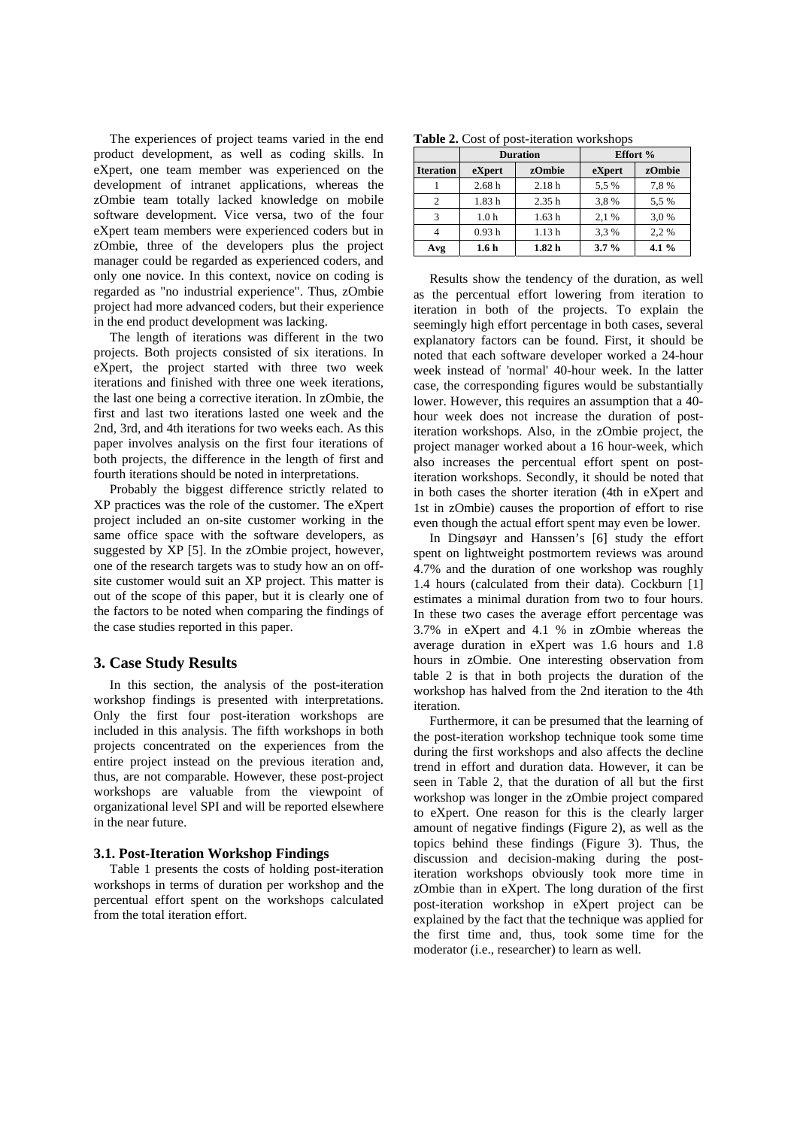The experiences of project teams varied in the end product development, as well as coding skills. In eXpert, one team member was experienced on the development of intranet applications, whereas the zOmbie team totally lacked knowledge on mobile software development. Vice versa, two of the four eXpert team members were experienced coders but in zOmbie, three of the developers plus the project manager could be regarded as experienced coders, and only one novice. In this context, novice on coding is regarded as "no industrial experience". Thus, zOmbie project had more advanced coders, but their experience in the end product development was lacking.

The length of iterations was different in the two projects. Both projects consisted of six iterations. In eXpert, the project started with three two week iterations and finished with three one week iterations, the last one being a corrective iteration. In zOmbie, the first and last two iterations lasted one week and the 2nd, 3rd, and 4th iterations for two weeks each. As this paper involves analysis on the first four iterations of both projects, the difference in the length of first and fourth iterations should be noted in interpretations.

Probably the biggest difference strictly related to XP practices was the role of the customer. The eXpert project included an on-site customer working in the same office space with the software developers, as suggested by XP [5]. In the zOmbie project, however, one of the research targets was to study how an on offsite customer would suit an XP project. This matter is out of the scope of this paper, but it is clearly one of the factors to be noted when comparing the findings of the case studies reported in this paper.

#### **3. Case Study Results**

In this section, the analysis of the post-iteration workshop findings is presented with interpretations. Only the first four post-iteration workshops are included in this analysis. The fifth workshops in both projects concentrated on the experiences from the entire project instead on the previous iteration and, thus, are not comparable. However, these post-project workshops are valuable from the viewpoint of organizational level SPI and will be reported elsewhere in the near future.

#### **3.1. Post-Iteration Workshop Findings**

Table 1 presents the costs of holding post-iteration workshops in terms of duration per workshop and the percentual effort spent on the workshops calculated from the total iteration effort.

|  | Table 2. Cost of post-iteration workshops |  |
|--|-------------------------------------------|--|
|--|-------------------------------------------|--|

|                  | <b>Duration</b>  |                   | Effort % |         |
|------------------|------------------|-------------------|----------|---------|
| <b>Iteration</b> | eXpert           | zOmbie            | eXpert   | zOmbie  |
|                  | 2.68h            | 2.18h             | 5.5%     | 7,8%    |
| $\overline{c}$   | 1.83h            | 2.35h             | 3,8%     | 5.5 %   |
| 3                | 1.0 <sub>h</sub> | 1.63h             | 2,1%     | 3,0%    |
|                  | 0.93h            | 1.13h             | 3.3%     | 2,2%    |
| Avg              | 1.6 <sub>h</sub> | 1.82 <sub>h</sub> | $3.7\%$  | $4.1\%$ |

Results show the tendency of the duration, as well as the percentual effort lowering from iteration to iteration in both of the projects. To explain the seemingly high effort percentage in both cases, several explanatory factors can be found. First, it should be noted that each software developer worked a 24-hour week instead of 'normal' 40-hour week. In the latter case, the corresponding figures would be substantially lower. However, this requires an assumption that a 40 hour week does not increase the duration of postiteration workshops. Also, in the zOmbie project, the project manager worked about a 16 hour-week, which also increases the percentual effort spent on postiteration workshops. Secondly, it should be noted that in both cases the shorter iteration (4th in eXpert and 1st in zOmbie) causes the proportion of effort to rise even though the actual effort spent may even be lower.

In Dingsøyr and Hanssen's [6] study the effort spent on lightweight postmortem reviews was around 4.7% and the duration of one workshop was roughly 1.4 hours (calculated from their data). Cockburn [1] estimates a minimal duration from two to four hours. In these two cases the average effort percentage was 3.7% in eXpert and 4.1 % in zOmbie whereas the average duration in eXpert was 1.6 hours and 1.8 hours in zOmbie. One interesting observation from table 2 is that in both projects the duration of the workshop has halved from the 2nd iteration to the 4th iteration.

Furthermore, it can be presumed that the learning of the post-iteration workshop technique took some time during the first workshops and also affects the decline trend in effort and duration data. However, it can be seen in Table 2, that the duration of all but the first workshop was longer in the zOmbie project compared to eXpert. One reason for this is the clearly larger amount of negative findings (Figure 2), as well as the topics behind these findings (Figure 3). Thus, the discussion and decision-making during the postiteration workshops obviously took more time in zOmbie than in eXpert. The long duration of the first post-iteration workshop in eXpert project can be explained by the fact that the technique was applied for the first time and, thus, took some time for the moderator (i.e., researcher) to learn as well.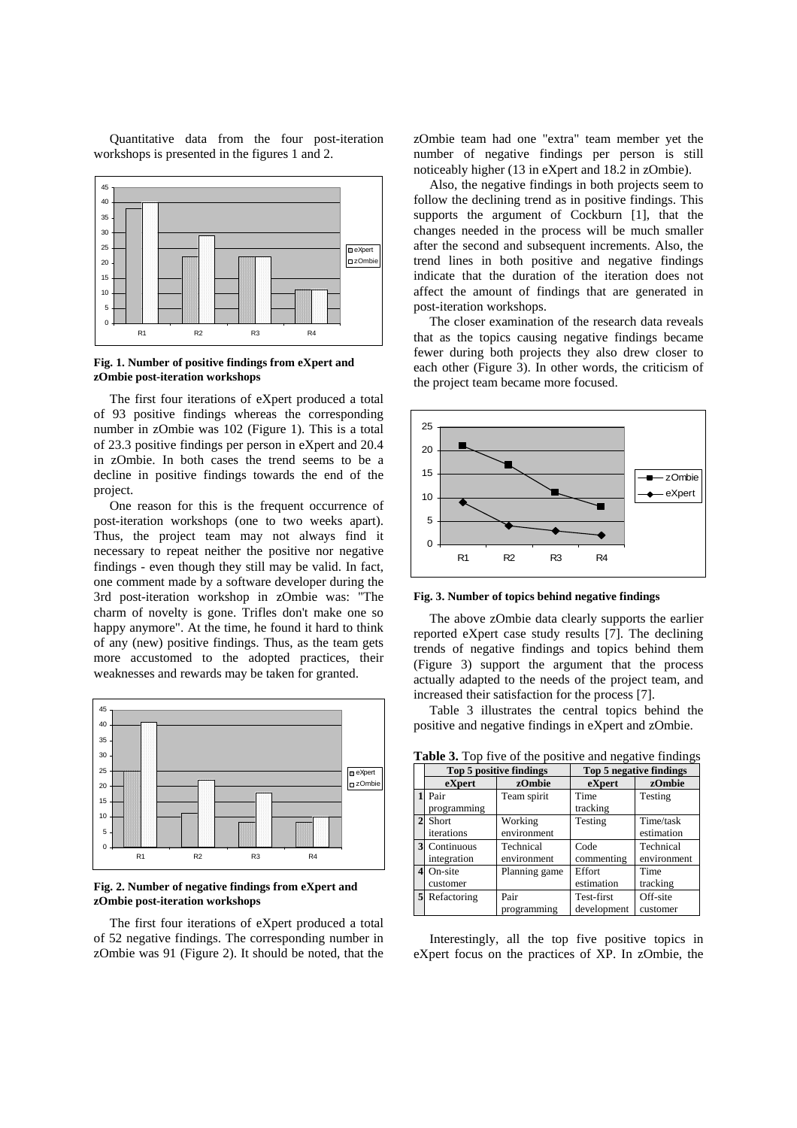Quantitative data from the four post-iteration workshops is presented in the figures 1 and 2.



**Fig. 1. Number of positive findings from eXpert and zOmbie post-iteration workshops** 

The first four iterations of eXpert produced a total of 93 positive findings whereas the corresponding number in zOmbie was 102 (Figure 1). This is a total of 23.3 positive findings per person in eXpert and 20.4 in zOmbie. In both cases the trend seems to be a decline in positive findings towards the end of the project.

One reason for this is the frequent occurrence of post-iteration workshops (one to two weeks apart). Thus, the project team may not always find it necessary to repeat neither the positive nor negative findings - even though they still may be valid. In fact, one comment made by a software developer during the 3rd post-iteration workshop in zOmbie was: "The charm of novelty is gone. Trifles don't make one so happy anymore". At the time, he found it hard to think of any (new) positive findings. Thus, as the team gets more accustomed to the adopted practices, their weaknesses and rewards may be taken for granted.



**Fig. 2. Number of negative findings from eXpert and zOmbie post-iteration workshops** 

The first four iterations of eXpert produced a total of 52 negative findings. The corresponding number in zOmbie was 91 (Figure 2). It should be noted, that the zOmbie team had one "extra" team member yet the number of negative findings per person is still noticeably higher (13 in eXpert and 18.2 in zOmbie).

Also, the negative findings in both projects seem to follow the declining trend as in positive findings. This supports the argument of Cockburn [1], that the changes needed in the process will be much smaller after the second and subsequent increments. Also, the trend lines in both positive and negative findings indicate that the duration of the iteration does not affect the amount of findings that are generated in post-iteration workshops.

The closer examination of the research data reveals that as the topics causing negative findings became fewer during both projects they also drew closer to each other (Figure 3). In other words, the criticism of the project team became more focused.



**Fig. 3. Number of topics behind negative findings** 

The above zOmbie data clearly supports the earlier reported eXpert case study results [7]. The declining trends of negative findings and topics behind them (Figure 3) support the argument that the process actually adapted to the needs of the project team, and increased their satisfaction for the process [7].

Table 3 illustrates the central topics behind the positive and negative findings in eXpert and zOmbie.

|               | <b>Top 5 positive findings</b> |               | Top 5 negative findings |             |
|---------------|--------------------------------|---------------|-------------------------|-------------|
|               | eXpert                         | zOmbie        | eXpert                  | zOmbie      |
|               | Pair                           | Team spirit   | Time                    | Testing     |
|               | programming                    |               | tracking                |             |
| $\mathcal{D}$ | Short                          | Working       | Testing                 | Time/task   |
|               | iterations                     | environment   |                         | estimation  |
| 3             | Continuous                     | Technical     | Code                    | Technical   |
|               | integration                    | environment   | commenting              | environment |
| 4             | On-site                        | Planning game | Effort                  | Time        |
|               | customer                       |               | estimation              | tracking    |
|               | 5 Refactoring                  | Pair          | Test-first              | Off-site    |
|               |                                | programming   | development             | customer    |

**Table 3.** Top five of the positive and negative findings

Interestingly, all the top five positive topics in eXpert focus on the practices of XP. In zOmbie, the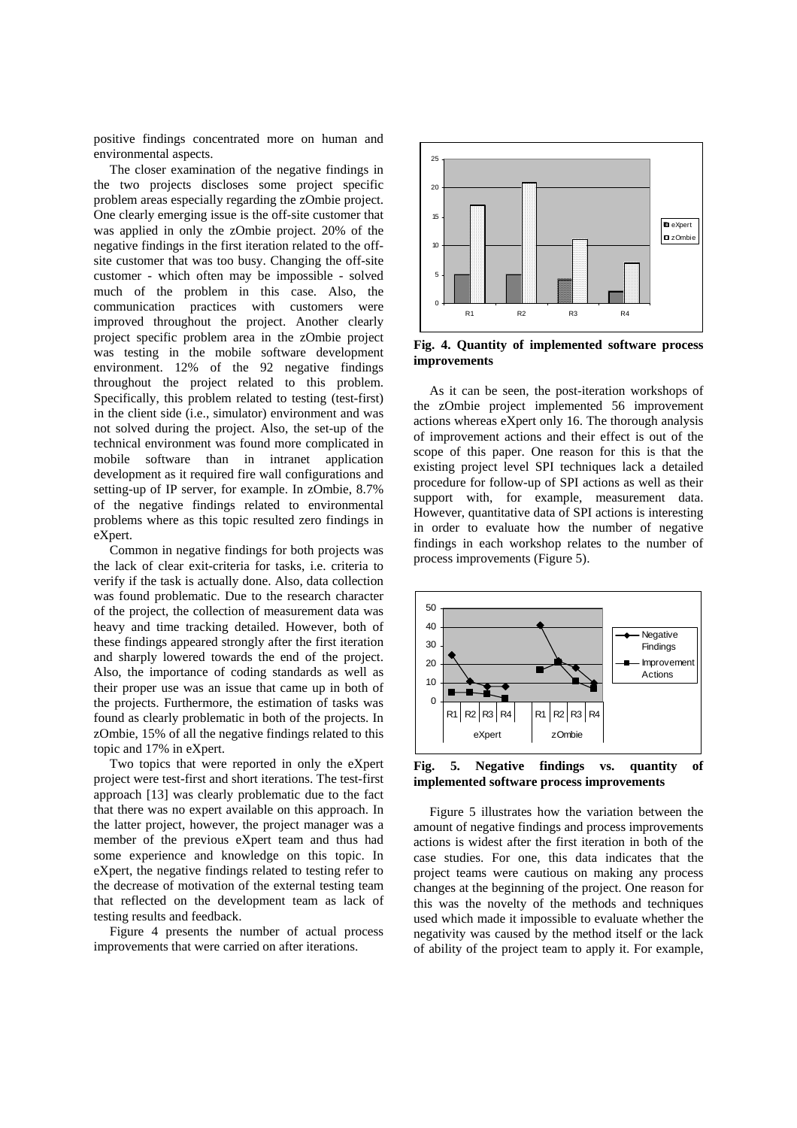positive findings concentrated more on human and environmental aspects.

The closer examination of the negative findings in the two projects discloses some project specific problem areas especially regarding the zOmbie project. One clearly emerging issue is the off-site customer that was applied in only the zOmbie project. 20% of the negative findings in the first iteration related to the offsite customer that was too busy. Changing the off-site customer - which often may be impossible - solved much of the problem in this case. Also, the communication practices with customers were improved throughout the project. Another clearly project specific problem area in the zOmbie project was testing in the mobile software development environment. 12% of the 92 negative findings throughout the project related to this problem. Specifically, this problem related to testing (test-first) in the client side (i.e., simulator) environment and was not solved during the project. Also, the set-up of the technical environment was found more complicated in mobile software than in intranet application development as it required fire wall configurations and setting-up of IP server, for example. In zOmbie, 8.7% of the negative findings related to environmental problems where as this topic resulted zero findings in eXpert.

Common in negative findings for both projects was the lack of clear exit-criteria for tasks, i.e. criteria to verify if the task is actually done. Also, data collection was found problematic. Due to the research character of the project, the collection of measurement data was heavy and time tracking detailed. However, both of these findings appeared strongly after the first iteration and sharply lowered towards the end of the project. Also, the importance of coding standards as well as their proper use was an issue that came up in both of the projects. Furthermore, the estimation of tasks was found as clearly problematic in both of the projects. In zOmbie, 15% of all the negative findings related to this topic and 17% in eXpert.

Two topics that were reported in only the eXpert project were test-first and short iterations. The test-first approach [13] was clearly problematic due to the fact that there was no expert available on this approach. In the latter project, however, the project manager was a member of the previous eXpert team and thus had some experience and knowledge on this topic. In eXpert, the negative findings related to testing refer to the decrease of motivation of the external testing team that reflected on the development team as lack of testing results and feedback.

Figure 4 presents the number of actual process improvements that were carried on after iterations.



**Fig. 4. Quantity of implemented software process improvements** 

As it can be seen, the post-iteration workshops of the zOmbie project implemented 56 improvement actions whereas eXpert only 16. The thorough analysis of improvement actions and their effect is out of the scope of this paper. One reason for this is that the existing project level SPI techniques lack a detailed procedure for follow-up of SPI actions as well as their support with, for example, measurement data. However, quantitative data of SPI actions is interesting in order to evaluate how the number of negative findings in each workshop relates to the number of process improvements (Figure 5).



**Fig. 5. Negative findings vs. quantity of implemented software process improvements**

Figure 5 illustrates how the variation between the amount of negative findings and process improvements actions is widest after the first iteration in both of the case studies. For one, this data indicates that the project teams were cautious on making any process changes at the beginning of the project. One reason for this was the novelty of the methods and techniques used which made it impossible to evaluate whether the negativity was caused by the method itself or the lack of ability of the project team to apply it. For example,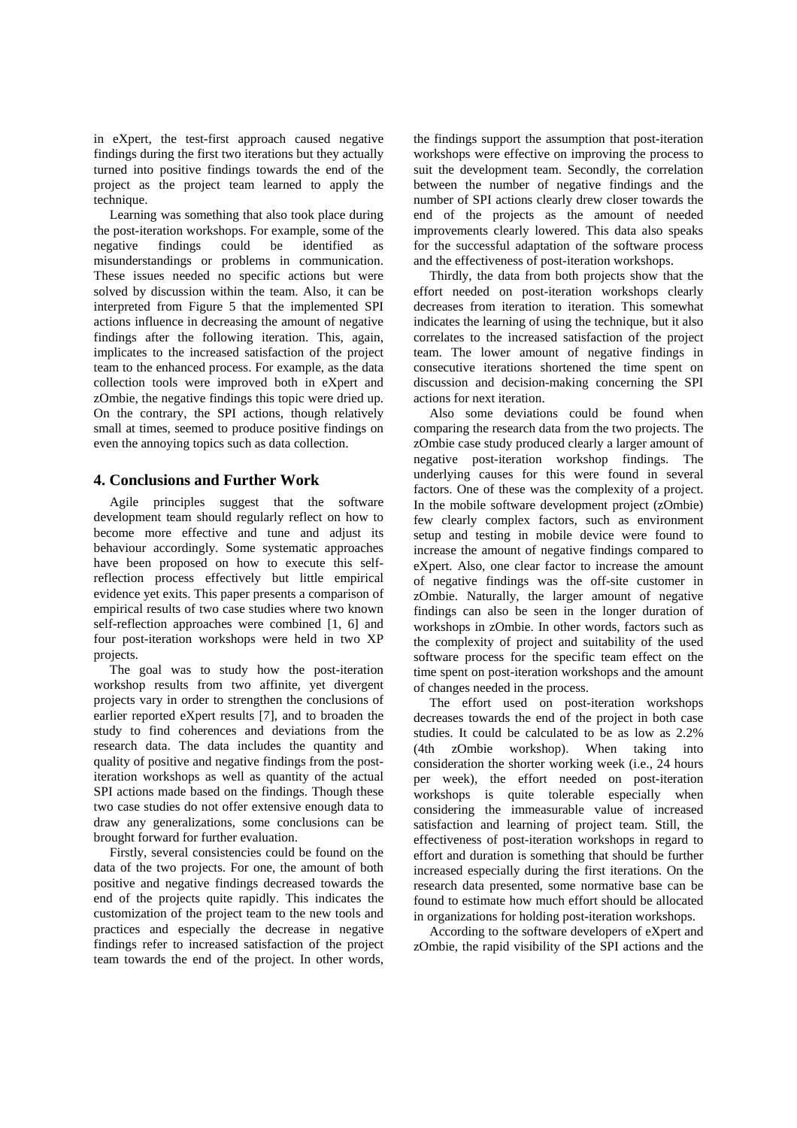in eXpert, the test-first approach caused negative findings during the first two iterations but they actually turned into positive findings towards the end of the project as the project team learned to apply the technique.

Learning was something that also took place during the post-iteration workshops. For example, some of the negative findings could be identified as negative findings could be identified as misunderstandings or problems in communication. These issues needed no specific actions but were solved by discussion within the team. Also, it can be interpreted from Figure 5 that the implemented SPI actions influence in decreasing the amount of negative findings after the following iteration. This, again, implicates to the increased satisfaction of the project team to the enhanced process. For example, as the data collection tools were improved both in eXpert and zOmbie, the negative findings this topic were dried up. On the contrary, the SPI actions, though relatively small at times, seemed to produce positive findings on even the annoying topics such as data collection.

# **4. Conclusions and Further Work**

Agile principles suggest that the software development team should regularly reflect on how to become more effective and tune and adjust its behaviour accordingly. Some systematic approaches have been proposed on how to execute this selfreflection process effectively but little empirical evidence yet exits. This paper presents a comparison of empirical results of two case studies where two known self-reflection approaches were combined [1, 6] and four post-iteration workshops were held in two XP projects.

The goal was to study how the post-iteration workshop results from two affinite, yet divergent projects vary in order to strengthen the conclusions of earlier reported eXpert results [7], and to broaden the study to find coherences and deviations from the research data. The data includes the quantity and quality of positive and negative findings from the postiteration workshops as well as quantity of the actual SPI actions made based on the findings. Though these two case studies do not offer extensive enough data to draw any generalizations, some conclusions can be brought forward for further evaluation.

Firstly, several consistencies could be found on the data of the two projects. For one, the amount of both positive and negative findings decreased towards the end of the projects quite rapidly. This indicates the customization of the project team to the new tools and practices and especially the decrease in negative findings refer to increased satisfaction of the project team towards the end of the project. In other words, the findings support the assumption that post-iteration workshops were effective on improving the process to suit the development team. Secondly, the correlation between the number of negative findings and the number of SPI actions clearly drew closer towards the end of the projects as the amount of needed improvements clearly lowered. This data also speaks for the successful adaptation of the software process and the effectiveness of post-iteration workshops.

Thirdly, the data from both projects show that the effort needed on post-iteration workshops clearly decreases from iteration to iteration. This somewhat indicates the learning of using the technique, but it also correlates to the increased satisfaction of the project team. The lower amount of negative findings in consecutive iterations shortened the time spent on discussion and decision-making concerning the SPI actions for next iteration.

Also some deviations could be found when comparing the research data from the two projects. The zOmbie case study produced clearly a larger amount of negative post-iteration workshop findings. The underlying causes for this were found in several factors. One of these was the complexity of a project. In the mobile software development project (zOmbie) few clearly complex factors, such as environment setup and testing in mobile device were found to increase the amount of negative findings compared to eXpert. Also, one clear factor to increase the amount of negative findings was the off-site customer in zOmbie. Naturally, the larger amount of negative findings can also be seen in the longer duration of workshops in zOmbie. In other words, factors such as the complexity of project and suitability of the used software process for the specific team effect on the time spent on post-iteration workshops and the amount of changes needed in the process.

The effort used on post-iteration workshops decreases towards the end of the project in both case studies. It could be calculated to be as low as 2.2% (4th zOmbie workshop). When taking into consideration the shorter working week (i.e., 24 hours per week), the effort needed on post-iteration workshops is quite tolerable especially when considering the immeasurable value of increased satisfaction and learning of project team. Still, the effectiveness of post-iteration workshops in regard to effort and duration is something that should be further increased especially during the first iterations. On the research data presented, some normative base can be found to estimate how much effort should be allocated in organizations for holding post-iteration workshops.

According to the software developers of eXpert and zOmbie, the rapid visibility of the SPI actions and the